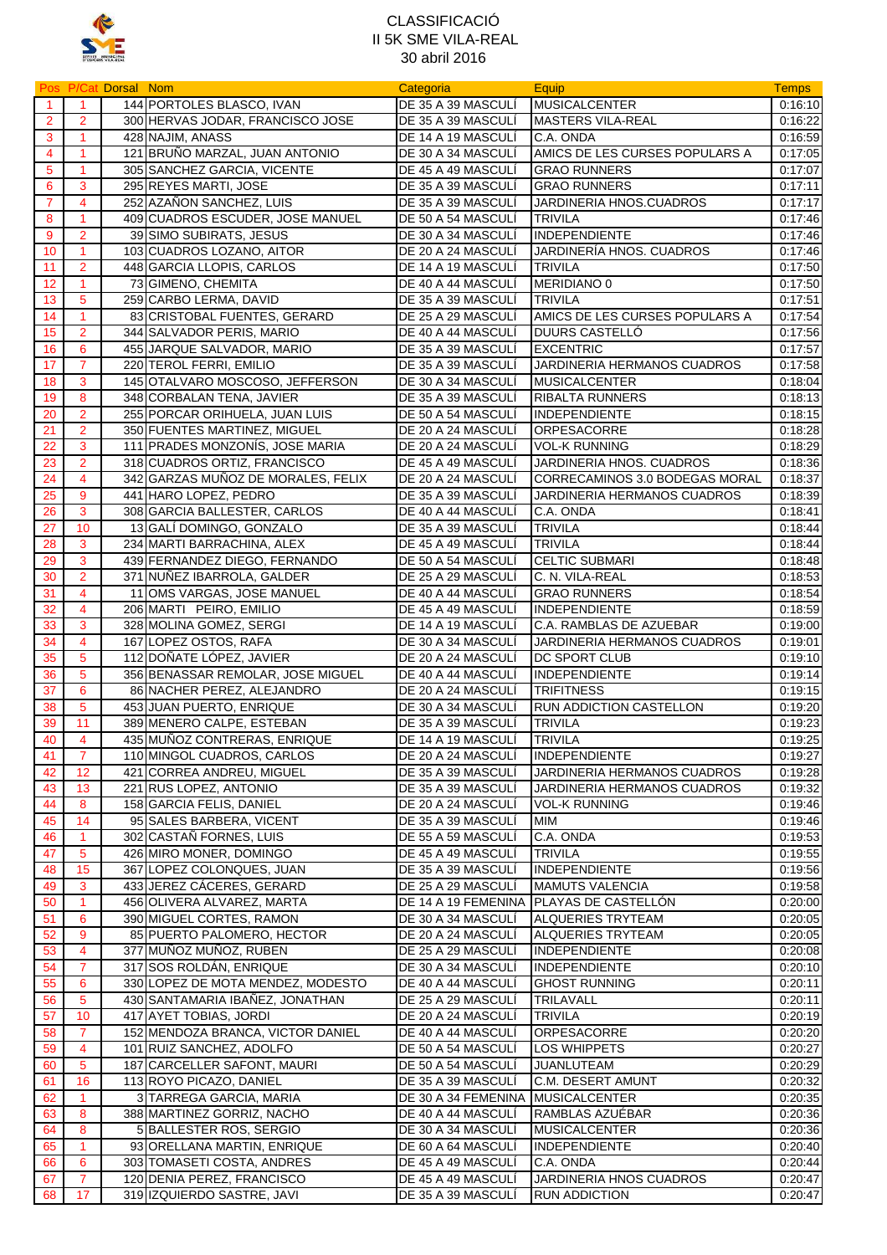

|                         |                      | Pos P/Cat Dorsal Nom |                                                            | Categoria                                | Equip                                          | <b>Temps</b>       |
|-------------------------|----------------------|----------------------|------------------------------------------------------------|------------------------------------------|------------------------------------------------|--------------------|
| $\overline{1}$          | $\overline{1}$       |                      | 144 PORTOLES BLASCO, IVAN                                  | DE 35 A 39 MASCULÍ                       | <b>MUSICALCENTER</b>                           | 0:16:10            |
| $\overline{2}$          | $\overline{2}$       |                      | 300 HERVAS JODAR, FRANCISCO JOSE                           | DE 35 A 39 MASCULÍ                       | <b>MASTERS VILA-REAL</b>                       | 0:16:22            |
| 3                       | $\overline{1}$       |                      | 428 NAJIM, ANASS                                           | DE 14 A 19 MASCULÍ                       | C.A. ONDA                                      | 0:16:59            |
| $\overline{\mathbf{4}}$ | 1                    |                      | 121 BRUÑO MARZAL, JUAN ANTONIO                             | DE 30 A 34 MASCULÍ                       | AMICS DE LES CURSES POPULARS A                 | 0:17:05            |
| 5                       | 1                    |                      | 305 SANCHEZ GARCIA, VICENTE                                | DE 45 A 49 MASCULI                       | <b>GRAO RUNNERS</b>                            | 0:17:07            |
| 6                       | 3                    |                      | 295 REYES MARTI, JOSE                                      | DE 35 A 39 MASCULI                       | <b>GRAO RUNNERS</b>                            | 0:17:11            |
| $\overline{7}$          | $\overline{4}$       |                      | 252 AZAÑON SANCHEZ, LUIS                                   | DE 35 A 39 MASCULI                       | JARDINERIA HNOS.CUADROS                        | 0:17:17            |
| 8                       | $\overline{1}$       |                      | 409 CUADROS ESCUDER, JOSE MANUEL                           | DE 50 A 54 MASCULÍ                       | <b>TRIVILA</b>                                 | 0:17:46            |
| 9                       | $\overline{2}$       |                      | 39 SIMO SUBIRATS, JESUS                                    | DE 30 A 34 MASCULI                       | <b>INDEPENDIENTE</b>                           | 0:17:46            |
| 10                      | $\mathbf{1}$         |                      | 103 CUADROS LOZANO, AITOR                                  | DE 20 A 24 MASCULÍ                       | JARDINERÍA HNOS. CUADROS                       | 0:17:46            |
| 11                      | $\overline{2}$       |                      | 448 GARCIA LLOPIS, CARLOS                                  | DE 14 A 19 MASCULI                       | <b>TRIVILA</b>                                 | 0:17:50            |
| 12                      | $\mathbf{1}$         |                      | 73 GIMENO, CHEMITA                                         | DE 40 A 44 MASCULI                       | MERIDIANO 0                                    | 0:17:50            |
| 13                      | 5                    |                      | 259 CARBO LERMA, DAVID                                     | DE 35 A 39 MASCULÍ                       | <b>TRIVILA</b>                                 | 0:17:51            |
| 14                      | $\overline{1}$       |                      | 83 CRISTOBAL FUENTES, GERARD                               | DE 25 A 29 MASCULI                       | AMICS DE LES CURSES POPULARS A                 | 0:17:54            |
| 15                      | $\overline{2}$       |                      | 344 SALVADOR PERIS, MARIO                                  | DE 40 A 44 MASCULÍ                       | <b>DUURS CASTELLÓ</b>                          | 0:17:56            |
| 16<br>17                | 6<br>$\overline{7}$  |                      | 455 JARQUE SALVADOR, MARIO                                 | DE 35 A 39 MASCULI                       | <b>EXCENTRIC</b>                               | 0:17:57            |
|                         |                      |                      | 220 TEROL FERRI, EMILIO<br>145 OTALVARO MOSCOSO, JEFFERSON | DE 35 A 39 MASCULI                       | JARDINERIA HERMANOS CUADROS                    | 0:17:58            |
| 18<br>19                | 3                    |                      | 348 CORBALAN TENA, JAVIER                                  | DE 30 A 34 MASCULI<br>DE 35 A 39 MASCULÍ | <b>MUSICALCENTER</b><br><b>RIBALTA RUNNERS</b> | 0:18.04            |
| 20                      | 8<br>$\overline{2}$  |                      | 255 PORCAR ORIHUELA, JUAN LUIS                             |                                          | <b>INDEPENDIENTE</b>                           | 0:18:13            |
| 21                      | $\overline{2}$       |                      | 350 FUENTES MARTINEZ, MIGUEL                               | DE 50 A 54 MASCULI<br>DE 20 A 24 MASCULÍ | ORPESACORRE                                    | 0:18:15<br>0:18:28 |
| 22                      | 3                    |                      | 111 PRADES MONZONÍS, JOSE MARIA                            | DE 20 A 24 MASCULI                       | <b>VOL-K RUNNING</b>                           | 0:18:29            |
| 23                      | $\overline{2}$       |                      | 318 CUADROS ORTIZ, FRANCISCO                               | DE 45 A 49 MASCULI                       | JARDINERIA HNOS. CUADROS                       | 0:18:36            |
| 24                      | $\overline{4}$       |                      | 342 GARZAS MUÑOZ DE MORALES, FELIX                         | DE 20 A 24 MASCULI                       | CORRECAMINOS 3.0 BODEGAS MORAL                 | 0:18:37            |
| 25                      | 9                    |                      | 441 HARO LOPEZ, PEDRO                                      | DE 35 A 39 MASCULÍ                       | JARDINERIA HERMANOS CUADROS                    | 0:18:39            |
| 26                      | 3                    |                      | 308 GARCIA BALLESTER, CARLOS                               | DE 40 A 44 MASCULI                       | C.A. ONDA                                      | 0:18:41            |
| 27                      | 10                   |                      | 13 GALÍ DOMINGO, GONZALO                                   | DE 35 A 39 MASCULÍ                       | <b>TRIVILA</b>                                 | 0:18:44            |
| 28                      | 3                    |                      | 234 MARTI BARRACHINA, ALEX                                 | DE 45 A 49 MASCULI                       | <b>TRIVILA</b>                                 | 0:18:44            |
| 29                      | 3                    |                      | 439 FERNANDEZ DIEGO, FERNANDO                              | DE 50 A 54 MASCULÍ                       | <b>CELTIC SUBMARI</b>                          | 0:18:48            |
| 30                      | $\overline{2}$       |                      | 371 NUÑEZ IBARROLA, GALDER                                 | DE 25 A 29 MASCULÍ                       | C. N. VILA-REAL                                | 0:18:53            |
| 31                      | 4                    |                      | 11 OMS VARGAS, JOSE MANUEL                                 | DE 40 A 44 MASCULI                       | <b>GRAO RUNNERS</b>                            | 0:18:54            |
| 32                      | $\overline{4}$       |                      | 206 MARTI PEIRO, EMILIO                                    | DE 45 A 49 MASCULI                       | <b>INDEPENDIENTE</b>                           | 0:18:59            |
| 33                      | 3                    |                      | 328 MOLINA GOMEZ, SERGI                                    | DE 14 A 19 MASCULI                       | C.A. RAMBLAS DE AZUEBAR                        | 0:19:00            |
| 34                      | $\overline{4}$       |                      | 167 LOPEZ OSTOS, RAFA                                      | DE 30 A 34 MASCULI                       | JARDINERIA HERMANOS CUADROS                    | 0:19:01            |
| 35                      | 5                    |                      | 112 DOÑATE LÓPEZ, JAVIER                                   | DE 20 A 24 MASCULI                       | DC SPORT CLUB                                  | 0:19:10            |
| 36                      | 5                    |                      | 356 BENASSAR REMOLAR, JOSE MIGUEL                          | DE 40 A 44 MASCULÍ                       | <b>INDEPENDIENTE</b>                           | 0:19:14            |
| 37                      | 6                    |                      | 86 NACHER PEREZ, ALEJANDRO                                 | DE 20 A 24 MASCULÍ                       | <b>TRIFITNESS</b>                              | 0:19:15            |
| 38                      | 5                    |                      | 453 JUAN PUERTO, ENRIQUE                                   | DE 30 A 34 MASCULI                       | RUN ADDICTION CASTELLON                        | 0:19:20            |
| 39                      | 11                   |                      | 389 MENERO CALPE, ESTEBAN                                  | DE 35 A 39 MASCULI                       | <b>TRIVILA</b>                                 | 0:19:23            |
| 40                      | $\overline{4}$       |                      | 435 MUÑOZ CONTRERAS, ENRIQUE                               | DE 14 A 19 MASCULÍ                       | <b>TRIVILA</b>                                 | 0:19:25            |
| 41                      | $\overline{7}$       |                      | 110 MINGOL CUADROS, CARLOS                                 | DE 20 A 24 MASCULÍ                       | <b>INDEPENDIENTE</b>                           | 0:19:27            |
| 42                      | 12                   |                      | 421 CORREA ANDREU, MIGUEL                                  | DE 35 A 39 MASCULI                       | JARDINERIA HERMANOS CUADROS                    | 0:19:28            |
| 43                      | 13                   |                      | 221 RUS LOPEZ, ANTONIO                                     | DE 35 A 39 MASCULÍ                       | JARDINERIA HERMANOS CUADROS                    | 0:19:32            |
| 44                      | 8                    |                      | 158 GARCIA FELIS, DANIEL                                   | DE 20 A 24 MASCULI                       | <b>VOL-K RUNNING</b>                           | 0.19.46            |
| 45                      | 14                   |                      | 95 SALES BARBERA, VICENT                                   | DE 35 A 39 MASCULI                       | MIM                                            | 0:19:46            |
| 46                      | $\blacktriangleleft$ |                      | 302 CASTAÑ FORNES, LUIS                                    | DE 55 A 59 MASCULÍ                       | C.A. ONDA                                      | 0:19:53            |
| 47                      | $5\phantom{.0}$      |                      | 426 MIRO MONER, DOMINGO                                    | DE 45 A 49 MASCULÍ                       | <b>TRIVILA</b>                                 | 0:19:55            |
| 48                      | 15                   |                      | 367 LOPEZ COLONQUES, JUAN                                  | DE 35 A 39 MASCULI                       | <b>INDEPENDIENTE</b>                           | 0:19:56            |
| 49                      | 3                    |                      | 433 JEREZ CACERES, GERARD                                  | DE 25 A 29 MASCULI                       | <b>MAMUTS VALENCIA</b>                         | 0.19.58            |
| 50                      | $\mathbf{1}$         |                      | 456 OLIVERA ALVAREZ, MARTA                                 | DE 14 A 19 FEMENINA                      | PLAYAS DE CASTELLÓN                            | 0:20:00            |
| 51                      | 6                    |                      | 390 MIGUEL CORTES, RAMON                                   | DE 30 A 34 MASCULÍ                       | ALQUERIES TRYTEAM                              | 0:20:05            |
| 52                      | 9                    |                      | 85 PUERTO PALOMERO, HECTOR                                 | DE 20 A 24 MASCULI                       | <b>ALQUERIES TRYTEAM</b>                       | 0:20:05            |
| 53                      | $\overline{4}$       |                      | 377 MUÑOZ MUÑOZ, RUBEN                                     | DE 25 A 29 MASCULI                       | <b>INDEPENDIENTE</b>                           | 0:20:08            |
| 54                      | $\overline{7}$       |                      | 317 SOS ROLDÁN, ENRIQUE                                    | DE 30 A 34 MASCULÍ                       | <b>INDEPENDIENTE</b>                           | 0:20:10            |
| 55                      | 6                    |                      | 330 LOPEZ DE MOTA MENDEZ, MODESTO                          | DE 40 A 44 MASCULI                       | <b>GHOST RUNNING</b>                           | 0:20:11            |
| 56                      | $5\phantom{.0}$      |                      | 430 SANTAMARIA IBAÑEZ, JONATHAN                            | DE 25 A 29 MASCULI                       | <b>TRILAVALL</b>                               | 0:20:11            |
| 57                      | 10                   |                      | 417 AYET TOBIAS, JORDI                                     | DE 20 A 24 MASCULI                       | TRIVILA                                        | 0:20:19            |
| 58                      | $\overline{7}$       |                      | 152 MENDOZA BRANCA, VICTOR DANIEL                          | DE 40 A 44 MASCULI                       | ORPESACORRE                                    | 0:20:20            |
| 59                      | $\overline{4}$       |                      | 101 RUIZ SANCHEZ, ADOLFO                                   | DE 50 A 54 MASCULI                       | LOS WHIPPETS                                   | 0:20:27            |
| 60                      | 5                    |                      | 187 CARCELLER SAFONT, MAURI                                | DE 50 A 54 MASCULI                       | JUANLUTEAM                                     | 0:20:29            |
| 61                      | 16                   |                      | 113 ROYO PICAZO, DANIEL                                    | DE 35 A 39 MASCULI                       | C.M. DESERT AMUNT                              | 0:20:32            |
| 62                      | $\mathbf{1}$         |                      | 3 TARREGA GARCIA, MARIA                                    | DE 30 A 34 FEMENINA MUSICALCENTER        |                                                | 0:20:35            |
| 63                      | 8                    |                      | 388 MARTINEZ GORRIZ, NACHO                                 | DE 40 A 44 MASCULI                       | RAMBLAS AZUÉBAR                                | 0:20:36            |
| 64                      | 8                    |                      | 5 BALLESTER ROS, SERGIO                                    | DE 30 A 34 MASCULI                       | <b>MUSICALCENTER</b>                           | 0:20:36            |
| 65                      | 1                    |                      | 93 ORELLANA MARTIN, ENRIQUE                                | DE 60 A 64 MASCULI                       | <b>INDEPENDIENTE</b>                           | 0:20:40            |
| 66                      | 6                    |                      | 303 TOMASETI COSTA, ANDRES                                 | DE 45 A 49 MASCULÍ                       | C.A. ONDA                                      | 0.20.44            |
| 67                      | $\overline{7}$       |                      | 120 DENIA PEREZ, FRANCISCO                                 | DE 45 A 49 MASCULI                       | JARDINERIA HNOS CUADROS                        | 0:20:47            |
| 68                      | 17                   |                      | 319 IZQUIERDO SASTRE, JAVI                                 | DE 35 A 39 MASCULÍ                       | <b>RUN ADDICTION</b>                           | 0:20:47            |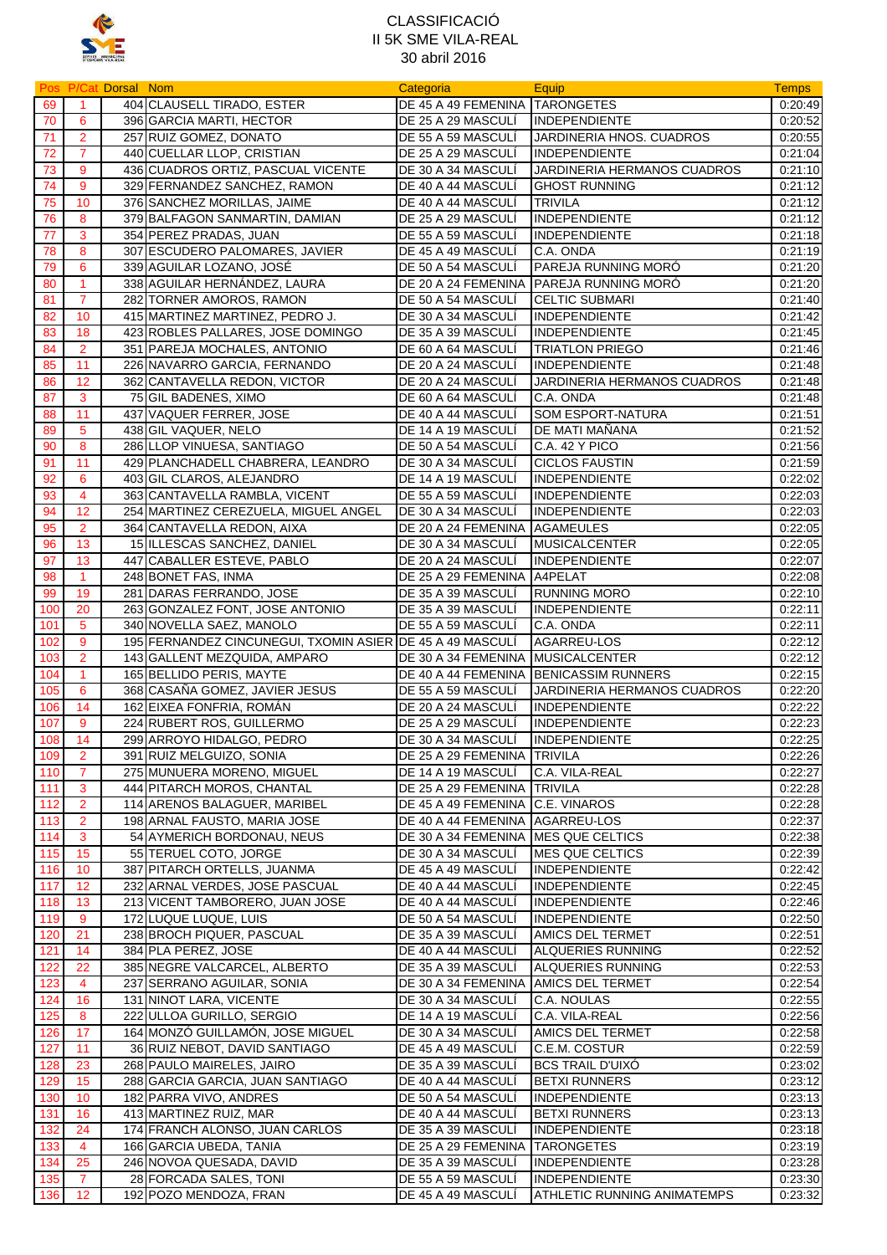

|       |                      | Pos P/Cat Dorsal Nom |                                                           | Categoria                            | Equip                                   | <b>Temps</b> |
|-------|----------------------|----------------------|-----------------------------------------------------------|--------------------------------------|-----------------------------------------|--------------|
| 69    | $\blacktriangleleft$ |                      | 404 CLAUSELL TIRADO, ESTER                                | DE 45 A 49 FEMENINA TARONGETES       |                                         | 0:20:49      |
| 70    | 6                    |                      | 396 GARCIA MARTI, HECTOR                                  | DE 25 A 29 MASCULÍ                   | INDEPENDIENTE                           | 0:20:52      |
| 71    | $\overline{2}$       |                      | 257 RUIZ GOMEZ, DONATO                                    | DE 55 A 59 MASCULI                   | JARDINERIA HNOS. CUADROS                | 0:20:55      |
| 72    | $\overline{7}$       |                      | 440 CUELLAR LLOP, CRISTIAN                                | DE 25 A 29 MASCULI                   | <b>INDEPENDIENTE</b>                    | 0:21:04      |
| 73    | 9                    |                      | 436 CUADROS ORTIZ, PASCUAL VICENTE                        | DE 30 A 34 MASCULI                   | JARDINERIA HERMANOS CUADROS             | 0:21:10      |
| 74    | 9                    |                      | 329 FERNANDEZ SANCHEZ, RAMON                              | DE 40 A 44 MASCULÍ                   | <b>GHOST RUNNING</b>                    | 0:21:12      |
| 75    | 10                   |                      | 376 SANCHEZ MORILLAS, JAIME                               | DE 40 A 44 MASCULI                   | <b>TRIVILA</b>                          | 0:21:12      |
| 76    | 8                    |                      | 379 BALFAGON SANMARTIN, DAMIAN                            | DE 25 A 29 MASCULÍ                   | <b>INDEPENDIENTE</b>                    | 0.21.12      |
|       | 3                    |                      |                                                           |                                      |                                         |              |
| 77    | 8                    |                      | 354 PEREZ PRADAS, JUAN                                    | DE 55 A 59 MASCULI                   | <b>INDEPENDIENTE</b><br>C.A. ONDA       | 0:21:18      |
| 78    |                      |                      | 307 ESCUDERO PALOMARES, JAVIER                            | DE 45 A 49 MASCULI                   |                                         | 0.21.19      |
| 79    | 6                    |                      | 339 AGUILAR LOZANO, JOSÉ                                  | DE 50 A 54 MASCULÍ                   | PAREJA RUNNING MORÓ                     | 0:21:20      |
| 80    | $\mathbf{1}$         |                      | 338 AGUILAR HERNÁNDEZ, LAURA                              |                                      | DE 20 A 24 FEMENINA PAREJA RUNNING MORÓ | 0.21:20      |
| 81    | $\overline{7}$       |                      | 282 TORNER AMOROS, RAMON                                  | DE 50 A 54 MASCULÍ                   | <b>CELTIC SUBMARI</b>                   | 0.21:40      |
| 82    | 10                   |                      | 415 MARTINEZ MARTINEZ, PEDRO J.                           | DE 30 A 34 MASCULI                   | <b>INDEPENDIENTE</b>                    | 0:21:42      |
| 83    | 18                   |                      | 423 ROBLES PALLARES, JOSE DOMINGO                         | DE 35 A 39 MASCULI                   | <b>INDEPENDIENTE</b>                    | 0:21:45      |
| 84    | $\overline{2}$       |                      | 351 PAREJA MOCHALES, ANTONIO                              | DE 60 A 64 MASCULI                   | <b>TRIATLON PRIEGO</b>                  | 0.21.46      |
| 85    | 11                   |                      | 226 NAVARRO GARCIA, FERNANDO                              | DE 20 A 24 MASCULI                   | <b>INDEPENDIENTE</b>                    | 0:21:48      |
| 86    | 12                   |                      | 362 CANTAVELLA REDON, VICTOR                              | DE 20 A 24 MASCULI                   | JARDINERIA HERMANOS CUADROS             | 0:21:48      |
| 87    | 3                    |                      | 75 GIL BADENES, XIMO                                      | DE 60 A 64 MASCULI                   | C.A. ONDA                               | 0.21.48      |
| 88    | 11                   |                      | 437 VAQUER FERRER, JOSE                                   | DE 40 A 44 MASCULI                   | <b>SOM ESPORT-NATURA</b>                | 0:21:51      |
| 89    | $5\phantom{1}$       |                      | 438 GIL VAQUER, NELO                                      | DE 14 A 19 MASCULI                   | DE MATI MANANA                          | 0:21:52      |
| 90    | 8                    |                      | 286 LLOP VINUESA, SANTIAGO                                | DE 50 A 54 MASCULI                   | C.A. 42 Y PICO                          | 0:21:56      |
| 91    | 11                   |                      | 429 PLANCHADELL CHABRERA, LEANDRO                         | DE 30 A 34 MASCULÍ                   | <b>CICLOS FAUSTIN</b>                   | 0:21:59      |
| 92    | 6                    |                      | 403 GIL CLAROS, ALEJANDRO                                 | DE 14 A 19 MASCULI                   | <b>INDEPENDIENTE</b>                    | 0:22:02      |
| 93    | 4                    |                      | 363 CANTAVELLA RAMBLA, VICENT                             | DE 55 A 59 MASCULI                   | <b>INDEPENDIENTE</b>                    | 0:22:03      |
| 94    | 12                   |                      | 254 MARTINEZ CEREZUELA, MIGUEL ANGEL                      | DE 30 A 34 MASCULI                   | <b>INDEPENDIENTE</b>                    | 0:22:03      |
| 95    | $\overline{2}$       |                      | 364 CANTAVELLA REDON, AIXA                                | DE 20 A 24 FEMENINA                  | <b>AGAMEULES</b>                        | 0:22:05      |
| 96    | 13                   |                      | 15 ILLESCAS SANCHEZ, DANIEL                               | DE 30 A 34 MASCULI                   | <b>MUSICALCENTER</b>                    | 0:22:05      |
|       | 13                   |                      |                                                           | DE 20 A 24 MASCULÍ                   |                                         |              |
| 97    |                      |                      | 447 CABALLER ESTEVE, PABLO                                |                                      | <b>INDEPENDIENTE</b>                    | 0:22:07      |
| 98    | $\blacktriangleleft$ |                      | 248 BONET FAS, INMA                                       | DE 25 A 29 FEMENINA A4PELAT          |                                         | 0.22:08      |
| 99    | 19                   |                      | 281 DARAS FERRANDO, JOSE                                  | DE 35 A 39 MASCULI                   | <b>RUNNING MORO</b>                     | 0.22:10      |
| 100   | 20                   |                      | 263 GONZALEZ FONT, JOSE ANTONIO                           | DE 35 A 39 MASCULI                   | <b>INDEPENDIENTE</b>                    | 0.22:11      |
| 101   | 5                    |                      | 340 NOVELLA SAEZ, MANOLO                                  | DE 55 A 59 MASCULI                   | C.A. ONDA                               | 0:22:11      |
| 102   | 9                    |                      | 195 FERNANDEZ CINCUNEGUI, TXOMIN ASIER DE 45 A 49 MASCULÍ |                                      | <b>AGARREU-LOS</b>                      | 0:22:12      |
| 103   | $\overline{2}$       |                      | 143 GALLENT MEZQUIDA, AMPARO                              | DE 30 A 34 FEMENINA                  | <b>MUSICALCENTER</b>                    | 0:22:12      |
| 104   | $\mathbf{1}$         |                      | 165 BELLIDO PERIS, MAYTE                                  | DE 40 A 44 FEMENINA                  | <b>BENICASSIM RUNNERS</b>               | 0:22:15      |
| 105   | 6                    |                      | 368 CASAÑA GOMEZ, JAVIER JESUS                            | DE 55 A 59 MASCULI                   | JARDINERIA HERMANOS CUADROS             | 0:22:20      |
| 106   | 14                   |                      | 162 EIXEA FONFRIA, ROMÁN                                  | DE 20 A 24 MASCULI                   | <b>INDEPENDIENTE</b>                    | 0:22:22      |
| 107   | 9                    |                      | 224 RUBERT ROS, GUILLERMO                                 | DE 25 A 29 MASCULI                   | <b>INDEPENDIENTE</b>                    | 0:22:23      |
| 108   | 14                   |                      | 299 ARROYO HIDALGO, PEDRO                                 | DE 30 A 34 MASCULÍ                   | <b>INDEPENDIENTE</b>                    | 0:22:25      |
| 109   | $\overline{2}$       |                      | 391 RUIZ MELGUIZO, SONIA                                  | DE 25 A 29 FEMENINA TRIVILA          |                                         | 0:22:26      |
| 110   | $\overline{7}$       |                      | 275 MUNUERA MORENO, MIGUEL                                | DE 14 A 19 MASCULI                   | C.A. VILA-REAL                          | 0:22:27      |
| $111$ | 3                    |                      | 444 PITARCH MOROS, CHANTAL                                | DE 25 A 29 FEMENINA TRIVILA          |                                         | 0:22:28      |
| 112   | $\overline{2}$       |                      | 114 ARENOS BALAGUER, MARIBEL                              | DE 45 A 49 FEMENINA C.E. VINAROS     |                                         | 0.22.28      |
| 113   | $\overline{2}$       |                      | 198 ARNAL FAUSTO, MARIA JOSE                              | DE 40 A 44 FEMENINA AGARREU-LOS      |                                         | 0:22:37      |
| 114   | 3                    |                      | 54 AYMERICH BORDONAU, NEUS                                | DE 30 A 34 FEMENINA MES QUE CELTICS  |                                         | 0:22:38      |
|       | 15                   |                      | 55 TERUEL COTO, JORGE                                     | DE 30 A 34 MASCULI                   | MES QUE CELTICS                         | 0:22:39      |
| 115   | 10                   |                      |                                                           | DE 45 A 49 MASCULI                   | <b>INDEPENDIENTE</b>                    |              |
| 116   | 12                   |                      | 387 PITARCH ORTELLS, JUANMA                               |                                      |                                         | 0:22:42      |
| 117   |                      |                      | 232 ARNAL VERDES, JOSE PASCUAL                            | DE 40 A 44 MASCULI                   | <b>INDEPENDIENTE</b>                    | 0:22:45      |
| 118   | 13                   |                      | 213 VICENT TAMBORERO, JUAN JOSE                           | DE 40 A 44 MASCULÍ                   | <b>INDEPENDIENTE</b>                    | 0:22:46      |
| 119   | 9                    |                      | 172 LUQUE LUQUE, LUIS                                     | DE 50 A 54 MASCULÍ                   | <b>INDEPENDIENTE</b>                    | 0.22:50      |
| 120   | 21                   |                      | 238 BROCH PIQUER, PASCUAL                                 | DE 35 A 39 MASCULI                   | AMICS DEL TERMET                        | 0:22:51      |
| 121   | 14                   |                      | 384 PLA PEREZ, JOSE                                       | DE 40 A 44 MASCULI                   | <b>ALQUERIES RUNNING</b>                | 0:22:52      |
| 122   | 22                   |                      | 385 NEGRE VALCARCEL, ALBERTO                              | DE 35 A 39 MASCULI                   | <b>ALQUERIES RUNNING</b>                | 0:22:53      |
| 123   | 4                    |                      | 237 SERRANO AGUILAR, SONIA                                | DE 30 A 34 FEMENINA AMICS DEL TERMET |                                         | 0:22:54      |
| 124   | 16                   |                      | 131 NINOT LARA, VICENTE                                   | DE 30 A 34 MASCULI                   | C.A. NOULAS                             | 0:22:55      |
| 125   | 8                    |                      | 222 ULLOA GURILLO, SERGIO                                 | DE 14 A 19 MASCULI                   | C.A. VILA-REAL                          | 0:22:56      |
| 126   | 17                   |                      | 164 MONZÓ GUILLAMÓN, JOSE MIGUEL                          | DE 30 A 34 MASCULÍ                   | AMICS DEL TERMET                        | 0:22:58      |
| 127   | 11                   |                      | 36 RUIZ NEBOT, DAVID SANTIAGO                             | DE 45 A 49 MASCULI                   | C.E.M. COSTUR                           | 0:22:59      |
| 128   | 23                   |                      | 268 PAULO MAIRELES, JAIRO                                 | DE 35 A 39 MASCULI                   | <b>BCS TRAIL D'UIXO</b>                 | 0:23:02      |
| 129   | 15                   |                      | 288 GARCIA GARCIA, JUAN SANTIAGO                          | DE 40 A 44 MASCULI                   | <b>BETXI RUNNERS</b>                    | 0:23:12      |
| 130   | 10                   |                      | 182 PARRA VIVO, ANDRES                                    | DE 50 A 54 MASCULÍ                   | <b>INDEPENDIENTE</b>                    | 0:23:13      |
| 131   | 16                   |                      | 413 MARTINEZ RUIZ, MAR                                    | DE 40 A 44 MASCULI                   | <b>BETXI RUNNERS</b>                    | 0.23:13      |
| 132   | 24                   |                      | 174 FRANCH ALONSO, JUAN CARLOS                            | DE 35 A 39 MASCULI                   | <b>INDEPENDIENTE</b>                    | 0.23:18      |
| 133   | 4                    |                      | 166 GARCIA UBEDA, TANIA                                   | DE 25 A 29 FEMENINA                  | <b>TARONGETES</b>                       | 0:23:19      |
| 134   | 25                   |                      | 246 NOVOA QUESADA, DAVID                                  | DE 35 A 39 MASCULI                   | <b>INDEPENDIENTE</b>                    |              |
|       |                      |                      |                                                           |                                      |                                         | 0:23:28      |
| 135   | $\overline{7}$       |                      | 28 FORCADA SALES, TONI                                    | DE 55 A 59 MASCULI                   | <b>INDEPENDIENTE</b>                    | 0:23:30      |
| 136   | 12                   |                      | 192 POZO MENDOZA, FRAN                                    | DE 45 A 49 MASCULÍ                   | <b>ATHLETIC RUNNING ANIMATEMPS</b>      | 0:23:32      |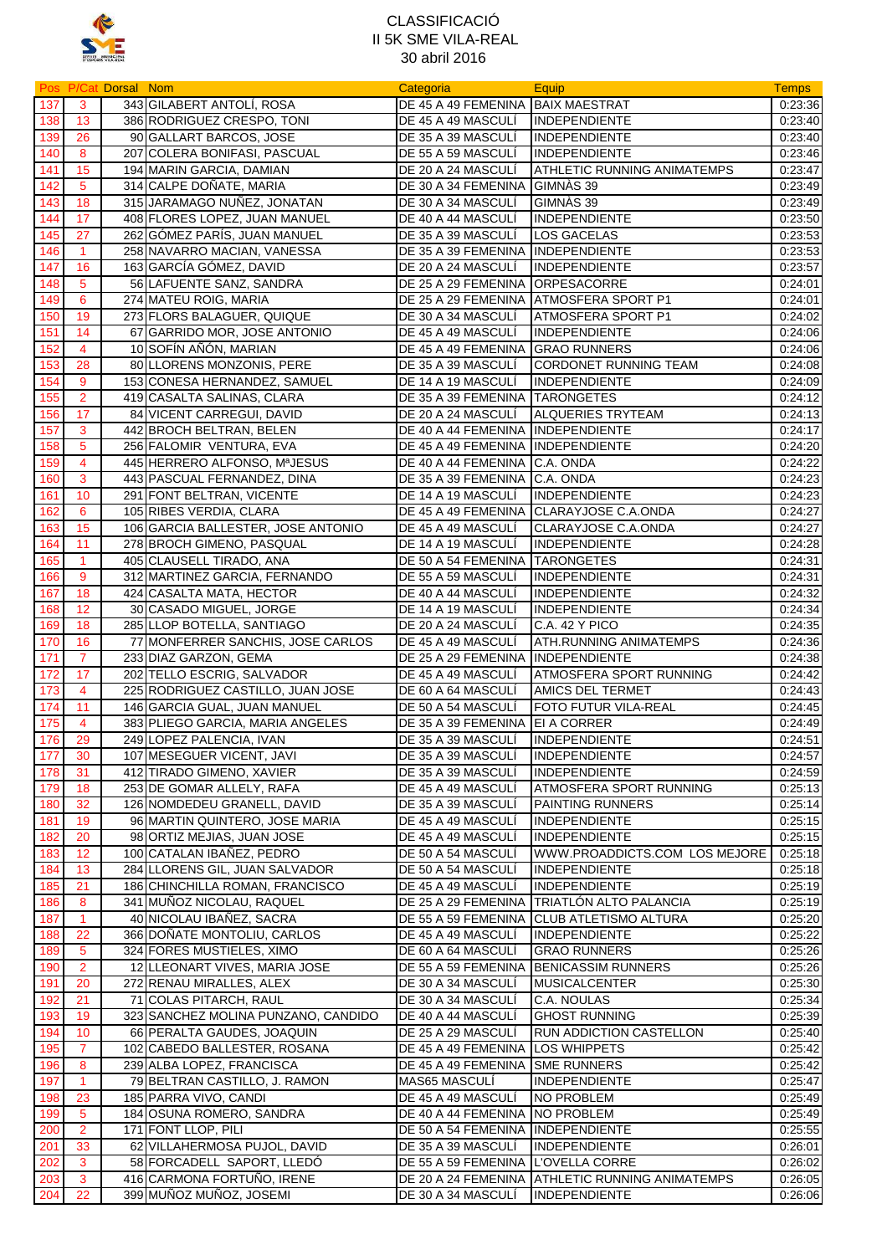

|     |                      | Pos P/Cat Dorsal Nom |                                     | Categoria                          | Equip                                           | <b>Temps</b> |
|-----|----------------------|----------------------|-------------------------------------|------------------------------------|-------------------------------------------------|--------------|
| 137 | 3                    |                      | 343 GILABERT ANTOLÍ, ROSA           | DE 45 A 49 FEMENINA BAIX MAESTRAT  |                                                 | 0:23:36      |
| 138 | 13                   |                      | 386 RODRIGUEZ CRESPO, TONI          | DE 45 A 49 MASCULÍ                 | <b>INDEPENDIENTE</b>                            | 0.23:40      |
| 139 | 26                   |                      | 90 GALLART BARCOS, JOSE             | DE 35 A 39 MASCULI                 | <b>INDEPENDIENTE</b>                            | 0:23:40      |
| 140 | 8                    |                      | 207 COLERA BONIFASI, PASCUAL        | DE 55 A 59 MASCULI                 | <b>INDEPENDIENTE</b>                            | 0:23:46      |
| 141 | 15                   |                      | 194 MARIN GARCIA, DAMIAN            | DE 20 A 24 MASCULI                 | ATHLETIC RUNNING ANIMATEMPS                     | 0:23:47      |
| 142 | $5\phantom{.0}$      |                      | 314 CALPE DOÑATE, MARIA             | DE 30 A 34 FEMENINA                | GIMNAS 39                                       | 0:23:49      |
| 143 | 18                   |                      | 315 JARAMAGO NUÑEZ, JONATAN         | DE 30 A 34 MASCULI                 | GIMNAS 39                                       | 0:23:49      |
|     |                      |                      |                                     |                                    |                                                 |              |
| 144 | 17                   |                      | 408 FLORES LOPEZ, JUAN MANUEL       | DE 40 A 44 MASCULI                 | <b>INDEPENDIENTE</b>                            | 0:23:50      |
| 145 | 27                   |                      | 262 GOMEZ PARIS, JUAN MANUEL        | DE 35 A 39 MASCULI                 | <b>LOS GACELAS</b>                              | 0:23:53      |
| 146 | $\mathbf{1}$         |                      | 258 NAVARRO MACIAN, VANESSA         | DE 35 A 39 FEMENINA INDEPENDIENTE  |                                                 | 0:23:53      |
| 147 | 16                   |                      | 163 GARCÍA GÓMEZ, DAVID             | DE 20 A 24 MASCULI                 | <b>INDEPENDIENTE</b>                            | 0:23:57      |
| 148 | $5\phantom{.0}$      |                      | 56 LAFUENTE SANZ, SANDRA            | DE 25 A 29 FEMENINA                | ORPESACORRE                                     | 0.24.01      |
| 149 | 6                    |                      | 274 MATEU ROIG, MARIA               | DE 25 A 29 FEMENINA                | <b>ATMOSFERA SPORT P1</b>                       | 0:24:01      |
| 150 | 19                   |                      | 273 FLORS BALAGUER, QUIQUE          | DE 30 A 34 MASCULI                 | ATMOSFERA SPORT P1                              | 0.24:02      |
| 151 | 14                   |                      | 67 GARRIDO MOR, JOSE ANTONIO        | DE 45 A 49 MASCULI                 | <b>INDEPENDIENTE</b>                            | 0:24:06      |
| 152 | 4                    |                      | 10 SOFÍN AÑÓN, MARIAN               | DE 45 A 49 FEMENINA                | <b>GRAO RUNNERS</b>                             | 0:24:06      |
| 153 | 28                   |                      | 80 LLORENS MONZONIS, PERE           | DE 35 A 39 MASCULI                 | <b>CORDONET RUNNING TEAM</b>                    | 0:24:08      |
| 154 | 9                    |                      | 153 CONESA HERNANDEZ, SAMUEL        | DE 14 A 19 MASCULI                 | <b>INDEPENDIENTE</b>                            | 0:24:09      |
| 155 | $\overline{2}$       |                      | 419 CASALTA SALINAS, CLARA          | DE 35 A 39 FEMENINA                | <b>TARONGETES</b>                               | 0.24.12      |
| 156 | 17                   |                      | 84 VICENT CARREGUI, DAVID           | DE 20 A 24 MASCULI                 | <b>ALQUERIES TRYTEAM</b>                        | 0.24:13      |
| 157 | 3                    |                      | 442 BROCH BELTRAN, BELEN            | DE 40 A 44 FEMENINA INDEPENDIENTE  |                                                 | 0:24:17      |
| 158 | 5                    |                      | 256 FALOMIR VENTURA, EVA            | DE 45 A 49 FEMENINA INDEPENDIENTE  |                                                 | 0.24.20      |
| 159 | $\overline{4}$       |                      | 445 HERRERO ALFONSO, MªJESUS        | DE 40 A 44 FEMENINA                | C.A. ONDA                                       | 0:24:22      |
| 160 | 3                    |                      | 443 PASCUAL FERNANDEZ, DINA         | DE 35 A 39 FEMENINA                | C.A. ONDA                                       | 0:24:23      |
| 161 | 10                   |                      | 291 FONT BELTRAN, VICENTE           | DE 14 A 19 MASCULI                 | <b>INDEPENDIENTE</b>                            | 0:24:23      |
| 162 | 6                    |                      | 105 RIBES VERDIA, CLARA             | DE 45 A 49 FEMENINA                | CLARAYJOSE C.A.ONDA                             | 0:24:27      |
| 163 | 15                   |                      | 106 GARCIA BALLESTER, JOSE ANTONIO  | DE 45 A 49 MASCULI                 | CLARAYJOSE C.A.ONDA                             | 0:24:27      |
|     |                      |                      |                                     |                                    |                                                 |              |
| 164 | 11                   |                      | 278 BROCH GIMENO, PASQUAL           | DE 14 A 19 MASCULI                 | <b>INDEPENDIENTE</b>                            | 0:24:28      |
| 165 | $\blacktriangleleft$ |                      | 405 CLAUSELL TIRADO, ANA            | DE 50 A 54 FEMENINA                | <b>TARONGETES</b>                               | 0:24:31      |
| 166 | 9                    |                      | 312 MARTINEZ GARCIA, FERNANDO       | DE 55 A 59 MASCULI                 | <b>INDEPENDIENTE</b>                            | 0:24:31      |
| 167 | 18                   |                      | 424 CASALTA MATA, HECTOR            | DE 40 A 44 MASCULI                 | <b>INDEPENDIENTE</b>                            | 0:24:32      |
| 168 | 12                   |                      | 30 CASADO MIGUEL, JORGE             | DE 14 A 19 MASCULI                 | <b>INDEPENDIENTE</b>                            | 0:24:34      |
| 169 | 18                   |                      | 285 LLOP BOTELLA, SANTIAGO          | DE 20 A 24 MASCULI                 | <b>C.A. 42 Y PICO</b>                           | 0:24:35      |
| 170 | 16                   |                      | 77 MONFERRER SANCHIS, JOSE CARLOS   | DE 45 A 49 MASCULÍ                 | ATH.RUNNING ANIMATEMPS                          | 0:24:36      |
| 171 | $\overline{7}$       |                      | 233 DIAZ GARZON, GEMA               | DE 25 A 29 FEMENINA                | <b>INDEPENDIENTE</b>                            | 0:24:38      |
| 172 | 17                   |                      | 202 TELLO ESCRIG, SALVADOR          | DE 45 A 49 MASCULI                 | <b>ATMOSFERA SPORT RUNNING</b>                  | 0.24.42      |
| 173 | 4                    |                      | 225 RODRIGUEZ CASTILLO, JUAN JOSE   | DE 60 A 64 MASCULI                 | <b>AMICS DEL TERMET</b>                         | 0:24:43      |
| 174 | 11                   |                      | 146 GARCIA GUAL, JUAN MANUEL        | DE 50 A 54 MASCULI                 | FOTO FUTUR VILA-REAL                            | 0:24:45      |
| 175 | 4                    |                      | 383 PLIEGO GARCIA, MARIA ANGELES    | DE 35 A 39 FEMENINA EI A CORRER    |                                                 | 0:24:49      |
| 176 | 29                   |                      | 249 LOPEZ PALENCIA, IVAN            | DE 35 A 39 MASCULÍ                 | <b>INDEPENDIENTE</b>                            | 0:24:51      |
| 177 | 30                   |                      | 107 MESEGUER VICENT, JAVI           | DE 35 A 39 MASCULÍ                 | INDEPENDIENTE                                   | 0.24.57      |
| 178 | 31                   |                      | 412 TIRADO GIMENO, XAVIER           | DE 35 A 39 MASCULÍ                 | <b>INDEPENDIENTE</b>                            | 0:24:59      |
| 179 | 18                   |                      | 253 DE GOMAR ALLELY, RAFA           | DE 45 A 49 MASCULÍ                 | ATMOSFERA SPORT RUNNING                         | 0:25:13      |
| 180 | 32                   |                      | 126 NOMDEDEU GRANELL, DAVID         | DE 35 A 39 MASCULI                 | <b>PAINTING RUNNERS</b>                         | 0.25.14      |
| 181 | 19                   |                      | 96 MARTIN QUINTERO, JOSE MARIA      | DE 45 A 49 MASCULÍ                 | <b>INDEPENDIENTE</b>                            | 0:25:15      |
| 182 | 20                   |                      | 98 ORTIZ MEJIAS, JUAN JOSE          | DE 45 A 49 MASCULI                 | <b>INDEPENDIENTE</b>                            | 0:25:15      |
| 183 | 12                   |                      | 100 CATALAN IBAÑEZ, PEDRO           | DE 50 A 54 MASCULI                 | WWW.PROADDICTS.COM LOS MEJORE                   | 0:25:18      |
| 184 | 13                   |                      | 284 LLORENS GIL, JUAN SALVADOR      | DE 50 A 54 MASCULI                 | <b>INDEPENDIENTE</b>                            | 0:25:18      |
| 185 | 21                   |                      | 186 CHINCHILLA ROMAN, FRANCISCO     | DE 45 A 49 MASCULI                 | INDEPENDIENTE                                   | 0:25:19      |
| 186 | 8                    |                      | 341 MUÑOZ NICOLAU, RAQUEL           |                                    | DE 25 A 29 FEMENINA TRIATLÓN ALTO PALANCIA      | 0:25:19      |
| 187 | $\mathbf{1}$         |                      | 40 NICOLAU IBAÑEZ, SACRA            |                                    | DE 55 A 59 FEMENINA CLUB ATLETISMO ALTURA       | 0:25:20      |
| 188 | 22                   |                      | 366 DOÑATE MONTOLIU, CARLOS         | DE 45 A 49 MASCULÍ                 | <b>INDEPENDIENTE</b>                            | 0:25:22      |
| 189 | 5                    |                      | 324 FORES MUSTIELES, XIMO           | DE 60 A 64 MASCULI                 | <b>GRAO RUNNERS</b>                             | 0:25:26      |
| 190 | $\overline{2}$       |                      | 12 LLEONART VIVES, MARIA JOSE       | DE 55 A 59 FEMENINA                | <b>BENICASSIM RUNNERS</b>                       | 0:25:26      |
| 191 | 20                   |                      | 272 RENAU MIRALLES, ALEX            | DE 30 A 34 MASCULI                 | <b>MUSICALCENTER</b>                            | 0:25:30      |
|     |                      |                      |                                     |                                    |                                                 |              |
| 192 | 21                   |                      | 71 COLAS PITARCH, RAUL              | DE 30 A 34 MASCULI                 | C.A. NOULAS                                     | 0:25:34      |
| 193 | 19                   |                      | 323 SANCHEZ MOLINA PUNZANO, CANDIDO | DE 40 A 44 MASCULI                 | <b>GHOST RUNNING</b>                            | 0:25:39      |
| 194 | 10                   |                      | 66 PERALTA GAUDES, JOAQUIN          | DE 25 A 29 MASCULÍ                 | RUN ADDICTION CASTELLON                         | 0.25.40      |
| 195 | $\mathbf{7}$         |                      | 102 CABEDO BALLESTER, ROSANA        | DE 45 A 49 FEMENINA                | LOS WHIPPETS                                    | 0:25:42      |
| 196 | 8                    |                      | 239 ALBA LOPEZ, FRANCISCA           | DE 45 A 49 FEMENINA                | <b>SME RUNNERS</b>                              | 0:25:42      |
| 197 | $\mathbf{1}$         |                      | 79 BELTRAN CASTILLO, J. RAMON       | MAS65 MASCULI                      | <b>INDEPENDIENTE</b>                            | 0:25:47      |
| 198 | 23                   |                      | 185 PARRA VIVO, CANDI               | DE 45 A 49 MASCULÍ                 | <b>NO PROBLEM</b>                               | 0.25.49      |
| 199 | $5\phantom{.0}$      |                      | 184 OSUNA ROMERO, SANDRA            | DE 40 A 44 FEMENINA NO PROBLEM     |                                                 | 0.25.49      |
| 200 | $\overline{2}$       |                      | 171 FONT LLOP, PILI                 | DE 50 A 54 FEMENINA INDEPENDIENTE  |                                                 | 0.25:55      |
| 201 | 33                   |                      | 62 VILLAHERMOSA PUJOL, DAVID        | DE 35 A 39 MASCULI                 | <b>INDEPENDIENTE</b>                            | 0:26:01      |
| 202 | 3                    |                      | 58 FORCADELL SAPORT, LLEDÓ          | DE 55 A 59 FEMENINA L'OVELLA CORRE |                                                 | 0:26:02      |
| 203 | $\mathbf{3}$         |                      | 416 CARMONA FORTUÑO, IRENE          |                                    | DE 20 A 24 FEMENINA ATHLETIC RUNNING ANIMATEMPS | 0.26.05      |
| 204 | 22                   |                      | 399 MUÑOZ MUÑOZ, JOSEMI             | DE 30 A 34 MASCULI                 | <b>INDEPENDIENTE</b>                            | 0:26:06      |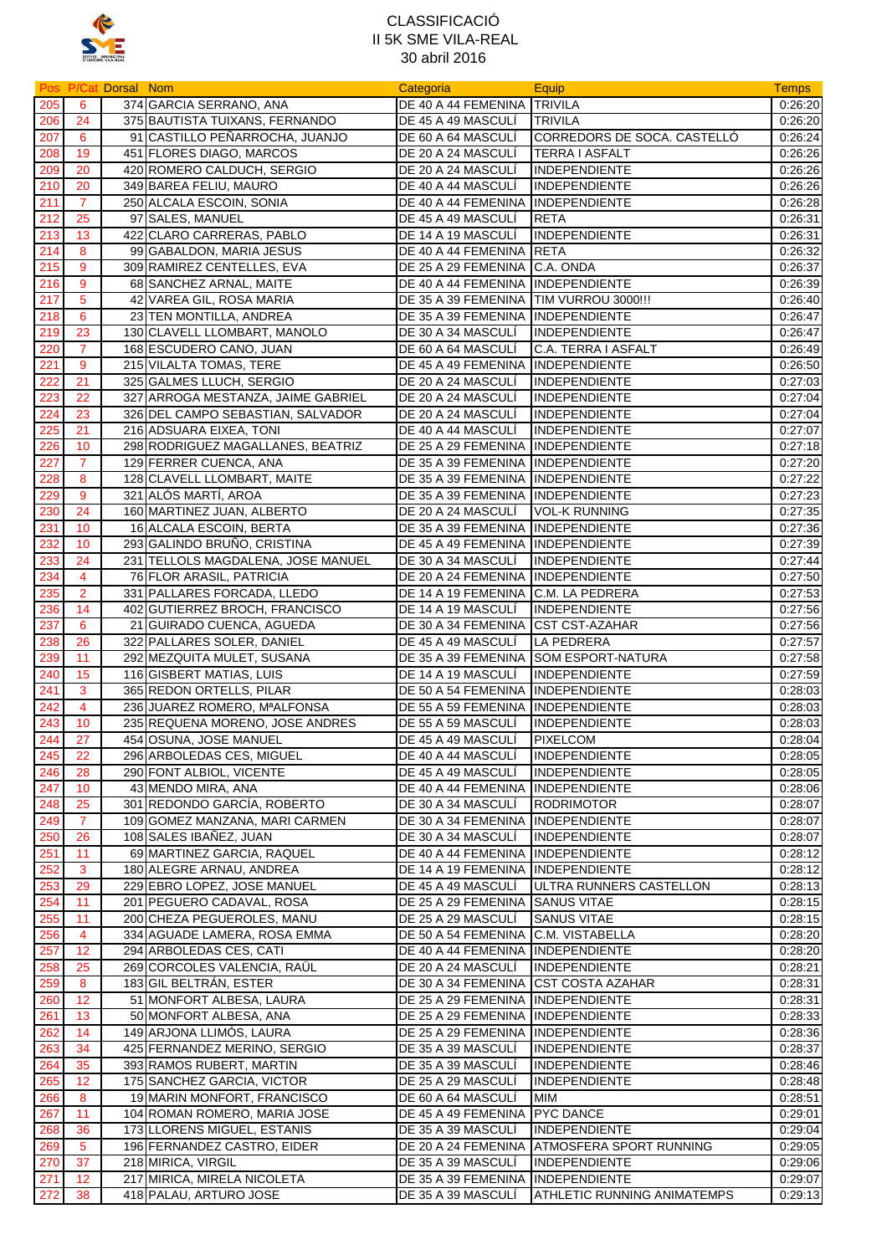

|     |                 | <b>Pos P/Cat Dorsal Nom</b> |                                    | Categoria                              | Equip                                 | <b>Temps</b>       |
|-----|-----------------|-----------------------------|------------------------------------|----------------------------------------|---------------------------------------|--------------------|
| 205 | 6               |                             | 374 GARCIA SERRANO, ANA            | DE 40 A 44 FEMENINA TRIVILA            |                                       | 0:26:20            |
| 206 | 24              |                             | 375 BAUTISTA TUIXANS, FERNANDO     | DE 45 A 49 MASCULI                     | <b>TRIVILA</b>                        | 0:26:20            |
| 207 | 6               |                             | 91 CASTILLO PEÑARROCHA, JUANJO     | DE 60 A 64 MASCULI                     | CORREDORS DE SOCA. CASTELLÓ           | 0:26:24            |
| 208 | 19              |                             | 451 FLORES DIAGO, MARCOS           | DE 20 A 24 MASCULI                     | <b>TERRA I ASFALT</b>                 | 0:26:26            |
| 209 | 20              |                             | 420 ROMERO CALDUCH, SERGIO         | DE 20 A 24 MASCULI                     | <b>INDEPENDIENTE</b>                  | 0:26:26            |
| 210 | 20              |                             | 349 BAREA FELIU, MAURO             | DE 40 A 44 MASCULI                     | INDEPENDIENTE                         | 0:26:26            |
| 211 | $\overline{7}$  |                             | 250 ALCALA ESCOIN, SONIA           | DE 40 A 44 FEMENINA INDEPENDIENTE      |                                       | 0:26:28            |
| 212 | 25              |                             | 97 SALES, MANUEL                   | DE 45 A 49 MASCULI                     | <b>RETA</b>                           | 0:26:31            |
| 213 | 13              |                             | 422 CLARO CARRERAS, PABLO          | DE 14 A 19 MASCULI                     | <b>INDEPENDIENTE</b>                  | 0:26:31            |
| 214 | 8               |                             | 99 GABALDON, MARIA JESUS           | DE 40 A 44 FEMENINA RETA               |                                       | 0:26:32            |
|     | 9               |                             |                                    |                                        |                                       | 0:26:37            |
| 215 |                 |                             | 309 RAMIREZ CENTELLES, EVA         | DE 25 A 29 FEMENINA C.A. ONDA          |                                       |                    |
| 216 | 9               |                             | 68 SANCHEZ ARNAL, MAITE            | DE 40 A 44 FEMENINA INDEPENDIENTE      |                                       | 0:26:39            |
| 217 | $5\phantom{.0}$ |                             | 42 VAREA GIL, ROSA MARIA           | DE 35 A 39 FEMENINA TIM VURROU 3000!!! |                                       | 0.26:40            |
| 218 | 6               |                             | 23 TEN MONTILLA, ANDREA            | DE 35 A 39 FEMENINA INDEPENDIENTE      |                                       | 0:26:47            |
| 219 | 23              |                             | 130 CLAVELL LLOMBART, MANOLO       | DE 30 A 34 MASCULI                     | <b>INDEPENDIENTE</b>                  | 0:26:47            |
| 220 | $\overline{7}$  |                             | 168 ESCUDERO CANO, JUAN            | DE 60 A 64 MASCULI                     | C.A. TERRA I ASFALT                   | 0:26:49            |
| 221 | 9               |                             | 215 VILALTA TOMAS, TERE            | DE 45 A 49 FEMENINA INDEPENDIENTE      |                                       | 0:26:50            |
| 222 | 21              |                             | 325 GALMES LLUCH, SERGIO           | DE 20 A 24 MASCULI                     | <b>INDEPENDIENTE</b>                  | 0:27:03            |
| 223 | 22              |                             | 327 ARROGA MESTANZA, JAIME GABRIEL | DE 20 A 24 MASCULÍ                     | <b>INDEPENDIENTE</b>                  | 0:27:04            |
| 224 | 23              |                             | 326 DEL CAMPO SEBASTIAN, SALVADOR  | DE 20 A 24 MASCULI                     | INDEPENDIENTE                         | 0.27:04            |
| 225 | 21              |                             | 216 ADSUARA EIXEA, TONI            | DE 40 A 44 MASCULI                     | <b>INDEPENDIENTE</b>                  | 0:27:07            |
| 226 | 10 <sup>°</sup> |                             | 298 RODRIGUEZ MAGALLANES, BEATRIZ  | DE 25 A 29 FEMENINA INDEPENDIENTE      |                                       | 0:27:18            |
| 227 | $\overline{7}$  |                             | 129 FERRER CUENCA, ANA             | DE 35 A 39 FEMENINA INDEPENDIENTE      |                                       | 0:27:20            |
| 228 | 8               |                             | 128 CLAVELL LLOMBART, MAITE        | DE 35 A 39 FEMENINA INDEPENDIENTE      |                                       | 0:27:22            |
| 229 | 9               |                             | 321 ALÓS MARTÍ, AROA               | DE 35 A 39 FEMENINA INDEPENDIENTE      |                                       | 0:27:23            |
| 230 | 24              |                             | 160 MARTINEZ JUAN, ALBERTO         | DE 20 A 24 MASCULI                     | <b>VOL-K RUNNING</b>                  | 0:27:35            |
| 231 | 10              |                             | 16 ALCALA ESCOIN, BERTA            | DE 35 A 39 FEMENINA                    | INDEPENDIENTE                         | 0:27:36            |
| 232 | 10              |                             | 293 GALINDO BRUÑO, CRISTINA        | DE 45 A 49 FEMENINA INDEPENDIENTE      |                                       | 0:27:39            |
| 233 | 24              |                             | 231 TELLOLS MAGDALENA, JOSE MANUEL | DE 30 A 34 MASCULI                     | <b>INDEPENDIENTE</b>                  | 0:27:44            |
| 234 | $\overline{4}$  |                             | 76 FLOR ARASIL, PATRICIA           | DE 20 A 24 FEMENINA INDEPENDIENTE      |                                       | 0:27:50            |
| 235 | $\overline{2}$  |                             | 331 PALLARES FORCADA, LLEDO        | DE 14 A 19 FEMENINA                    | C.M. LA PEDRERA                       | 0.27:53            |
| 236 | 14              |                             | 402 GUTIERREZ BROCH, FRANCISCO     | DE 14 A 19 MASCULI                     | <b>INDEPENDIENTE</b>                  | 0:27:56            |
| 237 | 6               |                             | 21 GUIRADO CUENCA, AGUEDA          | DE 30 A 34 FEMENINA                    | <b>CST CST-AZAHAR</b>                 | 0:27:56            |
| 238 | 26              |                             | 322 PALLARES SOLER, DANIEL         | DE 45 A 49 MASCULI                     | <b>LA PEDRERA</b>                     | 0:27:57            |
| 239 | 11              |                             | 292 MEZQUITA MULET, SUSANA         |                                        | DE 35 A 39 FEMENINA SOM ESPORT-NATURA | 0:27:58            |
|     |                 |                             |                                    |                                        |                                       | 0:27:59            |
| 240 | 15              |                             | 116 GISBERT MATIAS, LUIS           | DE 14 A 19 MASCULI                     | <b>INDEPENDIENTE</b>                  |                    |
| 241 | 3               |                             | 365 REDON ORTELLS, PILAR           | DE 50 A 54 FEMENINA INDEPENDIENTE      |                                       | 0:28:03            |
| 242 | 4               |                             | 236 JUAREZ ROMERO, MªALFONSA       | DE 55 A 59 FEMENINA INDEPENDIENTE      |                                       | 0:28:03            |
| 243 | 10              |                             | 235 REQUENA MORENO, JOSE ANDRES    | DE 55 A 59 MASCULI                     | <b>INDEPENDIENTE</b>                  | 0:28:03            |
| 244 | 27              |                             | 454 OSUNA, JOSE MANUEL             | DE 45 A 49 MASCULI                     | <b>PIXELCOM</b>                       | 0:28:04            |
| 245 | 22              |                             | 296 ARBOLEDAS CES, MIGUEL          | DE 40 A 44 MASCULI                     | INDEPENDIENTE                         | 0:28:05            |
| 246 | 28              |                             | 290 FONT ALBIOL, VICENTE           | DE 45 A 49 MASCULI                     | INDEPENDIENTE                         | 0:28:05            |
| 247 | 10              |                             | 43 MENDO MIRA, ANA                 | DE 40 A 44 FEMENINA INDEPENDIENTE      |                                       | 0:28:06            |
| 248 | 25              |                             | 301 REDONDO GARCÍA, ROBERTO        | DE 30 A 34 MASCULI                     | <b>RODRIMOTOR</b>                     | 0:28:07            |
| 249 | $\overline{7}$  |                             | 109 GOMEZ MANZANA, MARI CARMEN     | DE 30 A 34 FEMENINA INDEPENDIENTE      |                                       | 0:28:07            |
| 250 | 26              |                             | 108 SALES IBAÑEZ, JUAN             | DE 30 A 34 MASCULI                     | INDEPENDIENTE                         | 0:28:07            |
| 251 | 11              |                             | 69 MARTINEZ GARCIA, RAQUEL         | DE 40 A 44 FEMENINA INDEPENDIENTE      |                                       | 0:28:12            |
| 252 | $\mathbf{3}$    |                             | 180 ALEGRE ARNAU, ANDREA           | DE 14 A 19 FEMENINA INDEPENDIENTE      |                                       | 0:28:12            |
| 253 | 29              |                             | 229 EBRO LOPEZ, JOSE MANUEL        | DE 45 A 49 MASCULI                     | ULTRA RUNNERS CASTELLON               | 0:28:13            |
| 254 | 11              |                             | 201 PEGUERO CADAVAL, ROSA          | DE 25 A 29 FEMENINA SANUS VITAE        |                                       | 0:28:15            |
| 255 | 11              |                             | 200 CHEZA PEGUEROLES, MANU         | DE 25 A 29 MASCULÍ                     | <b>SANUS VITAE</b>                    | 0:28:15            |
| 256 | 4               |                             | 334 AGUADE LAMERA, ROSA EMMA       | DE 50 A 54 FEMENINA                    | C.M. VISTABELLA                       | 0:28:20            |
| 257 | 12              |                             | 294 ARBOLEDAS CES, CATI            | DE 40 A 44 FEMENINA                    | INDEPENDIENTE                         | 0:28:20            |
| 258 | 25              |                             | 269 CORCOLES VALENCIA, RAÜL        | DE 20 A 24 MASCULI                     | <b>INDEPENDIENTE</b>                  | 0:28:21            |
| 259 | 8               |                             | 183 GIL BELTRAN, ESTER             | DE 30 A 34 FEMENINA                    | <b>CST COSTA AZAHAR</b>               | 0:28:31            |
| 260 | 12              |                             | 51 MONFORT ALBESA, LAURA           | DE 25 A 29 FEMENINA INDEPENDIENTE      |                                       | 0:28:31            |
| 261 | 13              |                             | 50 MONFORT ALBESA, ANA             | DE 25 A 29 FEMENINA INDEPENDIENTE      |                                       | 0:28:33            |
| 262 | 14              |                             | 149 ARJONA LLIMÓS, LAURA           | DE 25 A 29 FEMENINA INDEPENDIENTE      |                                       | 0:28:36            |
| 263 | 34              |                             | 425 FERNANDEZ MERINO, SERGIO       | DE 35 A 39 MASCULI                     | <b>INDEPENDIENTE</b>                  | 0:28:37            |
| 264 | 35              |                             | 393 RAMOS RUBERT, MARTIN           | DE 35 A 39 MASCULI                     | <b>INDEPENDIENTE</b>                  | 0:28:46            |
| 265 | 12              |                             | 175 SANCHEZ GARCIA, VICTOR         | DE 25 A 29 MASCULÍ                     | <b>INDEPENDIENTE</b>                  | 0:28:48            |
| 266 | 8               |                             | 19 MARIN MONFORT, FRANCISCO        | DE 60 A 64 MASCULI                     | MIM                                   | 0:28:51            |
|     | 11              |                             | 104 ROMAN ROMERO, MARIA JOSE       | DE 45 A 49 FEMENINA                    | PYC DANCE                             | 0.29:01            |
| 267 |                 |                             |                                    |                                        | <b>INDEPENDIENTE</b>                  |                    |
| 268 | 36              |                             | 173 LLORENS MIGUEL, ESTANIS        | DE 35 A 39 MASCULI                     |                                       | 0:29:04<br>0:29:05 |
| 269 | $5\phantom{.0}$ |                             | 196 FERNANDEZ CASTRO, EIDER        | DE 20 A 24 FEMENINA                    | ATMOSFERA SPORT RUNNING               |                    |
| 270 | 37              |                             | 218 MIRICA, VIRGIL                 | DE 35 A 39 MASCULI                     | <b>INDEPENDIENTE</b>                  | 0:29:06            |
| 271 | 12              |                             | 217 MIRICA, MIRELA NICOLETA        | DE 35 A 39 FEMENINA INDEPENDIENTE      |                                       | 0:29:07            |
| 272 | 38              |                             | 418 PALAU, ARTURO JOSE             | DE 35 A 39 MASCULI                     | ATHLETIC RUNNING ANIMATEMPS           | 0:29:13            |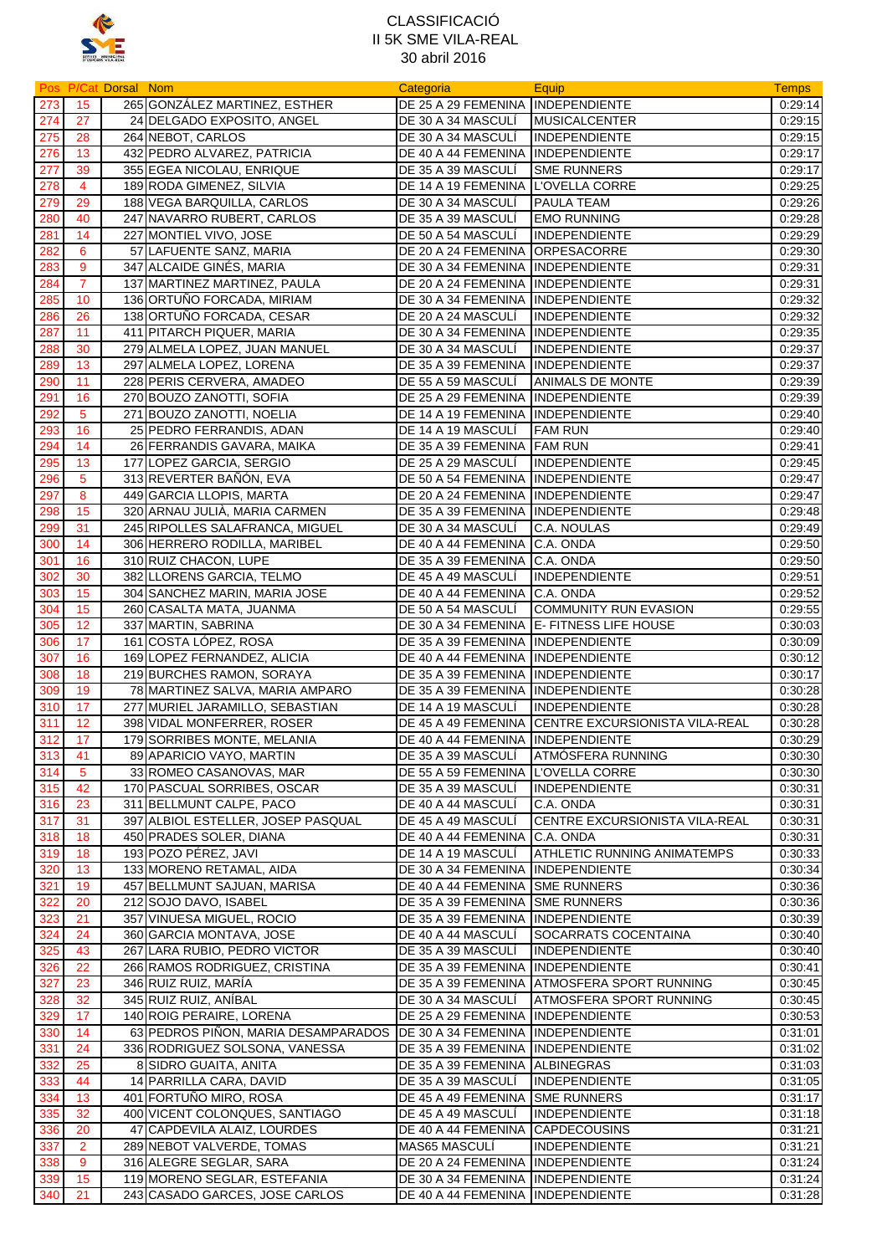

|     |                | Pos P/Cat Dorsal Nom |                                                                       | Categoria                          | Equip                                              | <b>Temps</b>       |
|-----|----------------|----------------------|-----------------------------------------------------------------------|------------------------------------|----------------------------------------------------|--------------------|
| 273 | 15             |                      | 265 GONZÁLEZ MARTINEZ, ESTHER                                         | DE 25 A 29 FEMENINA INDEPENDIENTE  |                                                    | 0:29:14            |
| 274 | 27             |                      | 24 DELGADO EXPOSITO, ANGEL                                            | DE 30 A 34 MASCULÍ                 | <b>MUSICALCENTER</b>                               | 0.29.15            |
| 275 | 28             |                      | 264 NEBOT, CARLOS                                                     | DE 30 A 34 MASCULÍ                 | <b>INDEPENDIENTE</b>                               | 0:29:15            |
| 276 | 13             |                      | 432 PEDRO ALVAREZ, PATRICIA                                           | DE 40 A 44 FEMENINA INDEPENDIENTE  |                                                    | 0:29:17            |
| 277 | 39             |                      | 355 EGEA NICOLAU, ENRIQUE                                             | DE 35 A 39 MASCULI                 | <b>SME RUNNERS</b>                                 | 0:29:17            |
| 278 | 4              |                      | 189 RODA GIMENEZ, SILVIA                                              | DE 14 A 19 FEMENINA L'OVELLA CORRE |                                                    | 0:29:25            |
| 279 | 29             |                      | 188 VEGA BARQUILLA, CARLOS                                            | DE 30 A 34 MASCULI                 | PAULA TEAM                                         | 0:29:26            |
| 280 | 40             |                      | 247 NAVARRO RUBERT, CARLOS                                            | DE 35 A 39 MASCULÍ                 | <b>EMO RUNNING</b>                                 | 0:29:28            |
| 281 | 14             |                      | 227 MONTIEL VIVO, JOSE                                                | DE 50 A 54 MASCULI                 | INDEPENDIENTE                                      | 0:29:29            |
| 282 | 6              |                      | 57 LAFUENTE SANZ, MARIA                                               | DE 20 A 24 FEMENINA ORPESACORRE    |                                                    | 0:29:30            |
| 283 | 9              |                      | 347 ALCAIDE GINÉS, MARIA                                              | DE 30 A 34 FEMENINA INDEPENDIENTE  |                                                    | 0:29:31            |
| 284 | $\overline{7}$ |                      | 137 MARTINEZ MARTINEZ, PAULA                                          | DE 20 A 24 FEMENINA INDEPENDIENTE  |                                                    | 0:29:31            |
| 285 | 10             |                      | 136 ORTUÑO FORCADA, MIRIAM                                            | DE 30 A 34 FEMENINA INDEPENDIENTE  |                                                    | 0:29:32            |
| 286 | 26             |                      | 138 ORTUÑO FORCADA, CESAR                                             | DE 20 A 24 MASCULI                 | <b>INDEPENDIENTE</b>                               | 0:29:32            |
| 287 | 11             |                      | 411 PITARCH PIQUER, MARIA                                             | DE 30 A 34 FEMENINA INDEPENDIENTE  |                                                    | 0:29:35            |
| 288 | 30             |                      | 279 ALMELA LOPEZ, JUAN MANUEL                                         | DE 30 A 34 MASCULI                 | <b>INDEPENDIENTE</b>                               | 0:29:37            |
| 289 | 13             |                      | 297 ALMELA LOPEZ, LORENA                                              | DE 35 A 39 FEMENINA INDEPENDIENTE  |                                                    | 0:29:37            |
| 290 | 11             |                      | 228 PERIS CERVERA, AMADEO                                             | DE 55 A 59 MASCULI                 | ANIMALS DE MONTE                                   | 0:29:39            |
| 291 | 16             |                      | 270 BOUZO ZANOTTI, SOFIA                                              | DE 25 A 29 FEMENINA INDEPENDIENTE  |                                                    | 0:29:39            |
| 292 | $\sqrt{5}$     |                      | 271 BOUZO ZANOTTI, NOELIA                                             | DE 14 A 19 FEMENINA INDEPENDIENTE  |                                                    | 0.29.40            |
| 293 | 16             |                      | 25 PEDRO FERRANDIS, ADAN                                              | DE 14 A 19 MASCULI                 | <b>FAM RUN</b>                                     | 0:29:40            |
| 294 | 14             |                      | 26 FERRANDIS GAVARA, MAIKA                                            | DE 35 A 39 FEMENINA FAM RUN        |                                                    | 0:29:41            |
| 295 | 13             |                      | 177 LOPEZ GARCIA, SERGIO                                              | DE 25 A 29 MASCULI                 | INDEPENDIENTE                                      | 0:29:45            |
| 296 | 5              |                      | 313 REVERTER BAÑÓN, EVA                                               | DE 50 A 54 FEMENINA INDEPENDIENTE  |                                                    | 0:29:47            |
| 297 | 8              |                      | 449 GARCIA LLOPIS, MARTA                                              | DE 20 A 24 FEMENINA IINDEPENDIENTE |                                                    | 0:29:47            |
| 298 | 15             |                      | 320 ARNAU JULIÀ, MARIA CARMEN                                         | DE 35 A 39 FEMENINA INDEPENDIENTE  |                                                    | 0:29:48            |
| 299 | 31             |                      | 245 RIPOLLES SALAFRANCA, MIGUEL                                       | DE 30 A 34 MASCULI                 | C.A. NOULAS                                        | 0:29:49            |
| 300 | 14             |                      | 306 HERRERO RODILLA, MARIBEL                                          | DE 40 A 44 FEMENINA C.A. ONDA      |                                                    | 0:29:50            |
| 301 | 16             |                      | 310 RUIZ CHACON, LUPE                                                 | DE 35 A 39 FEMENINA C.A. ONDA      |                                                    | 0:29:50            |
| 302 | 30             |                      | 382 LLORENS GARCIA, TELMO                                             | DE 45 A 49 MASCULÍ                 | <b>INDEPENDIENTE</b>                               | 0:29:51            |
| 303 | 15             |                      | 304 SANCHEZ MARIN, MARIA JOSE                                         | DE 40 A 44 FEMENINA C.A. ONDA      |                                                    | 0:29:52            |
| 304 | 15             |                      | 260 CASALTA MATA, JUANMA                                              | DE 50 A 54 MASCULI                 | COMMUNITY RUN EVASION                              | 0:29:55            |
| 305 | 12             |                      | 337 MARTIN, SABRINA                                                   |                                    | DE 30 A 34 FEMENINA E- FITNESS LIFE HOUSE          | 0:30:03            |
| 306 | 17             |                      | 161 COSTA LÓPEZ, ROSA                                                 | DE 35 A 39 FEMENINA INDEPENDIENTE  |                                                    | 0:30:09            |
| 307 | 16             |                      | 169 LOPEZ FERNANDEZ, ALICIA                                           | DE 40 A 44 FEMENINA INDEPENDIENTE  |                                                    | 0:30:12            |
| 308 | 18             |                      | 219 BURCHES RAMON, SORAYA                                             | DE 35 A 39 FEMENINA INDEPENDIENTE  |                                                    | 0:30:17            |
| 309 | 19             |                      | 78 MARTINEZ SALVA, MARIA AMPARO                                       | DE 35 A 39 FEMENINA INDEPENDIENTE  |                                                    | 0:30:28            |
| 310 | 17             |                      | 277 MURIEL JARAMILLO, SEBASTIAN                                       | DE 14 A 19 MASCULI                 | <b>INDEPENDIENTE</b>                               |                    |
| 311 | 12             |                      |                                                                       |                                    | DE 45 A 49 FEMENINA CENTRE EXCURSIONISTA VILA-REAL | 0:30:28<br>0:30:28 |
| 312 | 17             |                      | 398 VIDAL MONFERRER, ROSER<br>179 SORRIBES MONTE, MELANIA             | DE 40 A 44 FEMENINA INDEPENDIENTE  |                                                    | 0:30:29            |
|     |                |                      |                                                                       | DE 35 A 39 MASCULÍ                 |                                                    |                    |
| 313 | 41             |                      | 89 APARICIO VAYO, MARTIN                                              |                                    | ATMOSFERA RUNNING                                  | 0:30:30            |
| 314 | -5             |                      | 33 ROMEO CASANOVAS, MAR                                               | DE 55 A 59 FEMENINA                | L'OVELLA CORRE                                     | 0:30:30            |
| 315 | 42             |                      | 170 PASCUAL SORRIBES, OSCAR                                           | DE 35 A 39 MASCULÍ                 | <b>INDEPENDIENTE</b>                               | 0:30:31            |
| 316 | 23             |                      | 311 BELLMUNT CALPE, PACO                                              | DE 40 A 44 MASCULI                 | C.A. ONDA                                          | 0:30:31            |
| 317 | 31             |                      | 397 ALBIOL ESTELLER, JOSEP PASQUAL                                    | DE 45 A 49 MASCULI                 | CENTRE EXCURSIONISTA VILA-REAL                     | 0:30:31            |
| 318 | 18             |                      | 450 PRADES SOLER, DIANA                                               | DE 40 A 44 FEMENINA C.A. ONDA      |                                                    | 0:30:31            |
| 319 | 18             |                      | 193 POZO PÉREZ, JAVI                                                  | DE 14 A 19 MASCULÍ                 | ATHLETIC RUNNING ANIMATEMPS                        | 0:30:33            |
| 320 | 13             |                      | 133 MORENO RETAMAL, AIDA                                              | DE 30 A 34 FEMENINA                | INDEPENDIENTE                                      | 0:30:34            |
| 321 | 19             |                      | 457 BELLMUNT SAJUAN, MARISA                                           | DE 40 A 44 FEMENINA                | <b>SME RUNNERS</b>                                 | 0:30:36            |
| 322 | 20             |                      | 212 SOJO DAVO, ISABEL                                                 | DE 35 A 39 FEMENINA                | <b>SME RUNNERS</b>                                 | 0:30:36            |
| 323 | 21             |                      | 357 VINUESA MIGUEL, ROCIO                                             | DE 35 A 39 FEMENINA INDEPENDIENTE  |                                                    | 0:30:39            |
| 324 | 24             |                      | 360 GARCIA MONTAVA, JOSE                                              | DE 40 A 44 MASCULI                 | SOCARRATS COCENTAINA                               | 0.30.40            |
| 325 | 43             |                      | 267 LARA RUBIO, PEDRO VICTOR                                          | DE 35 A 39 MASCULI                 | <b>INDEPENDIENTE</b>                               | 0:30:40            |
| 326 | 22             |                      | 266 RAMOS RODRIGUEZ, CRISTINA                                         | DE 35 A 39 FEMENINA INDEPENDIENTE  |                                                    | 0:30:41            |
| 327 | 23             |                      | 346 RUIZ RUIZ, MARÍA                                                  |                                    | DE 35 A 39 FEMENINA ATMOSFERA SPORT RUNNING        | 0:30:45            |
| 328 | 32             |                      | 345 RUIZ RUIZ, ANIBAL                                                 | DE 30 A 34 MASCULI                 | ATMOSFERA SPORT RUNNING                            | 0:30:45            |
| 329 | 17             |                      | 140 ROIG PERAIRE, LORENA                                              | DE 25 A 29 FEMENINA INDEPENDIENTE  |                                                    | 0:30:53            |
| 330 | 14             |                      | 63 PEDROS PIÑON, MARIA DESAMPARADOS DE 30 A 34 FEMENINA INDEPENDIENTE |                                    |                                                    | 0:31:01            |
| 331 | 24             |                      | 336 RODRIGUEZ SOLSONA, VANESSA                                        | DE 35 A 39 FEMENINA                | INDEPENDIENTE                                      | 0:31:02            |
| 332 | 25             |                      | 8 SIDRO GUAITA, ANITA                                                 | DE 35 A 39 FEMENINA ALBINEGRAS     |                                                    | 0:31:03            |
| 333 | 44             |                      | 14 PARRILLA CARA, DAVID                                               | DE 35 A 39 MASCULI                 | <b>INDEPENDIENTE</b>                               | 0:31:05            |
| 334 | 13             |                      | 401 FORTUÑO MIRO, ROSA                                                | DE 45 A 49 FEMENINA SME RUNNERS    |                                                    | 0:31:17            |
| 335 | 32             |                      | 400 VICENT COLONQUES, SANTIAGO                                        | DE 45 A 49 MASCULÍ                 | <b>INDEPENDIENTE</b>                               | 0:31:18            |
| 336 | 20             |                      | 47 CAPDEVILA ALAIZ, LOURDES                                           | DE 40 A 44 FEMENINA CAPDECOUSINS   |                                                    | 0:31:21            |
| 337 | $\overline{2}$ |                      | 289 NEBOT VALVERDE, TOMAS                                             | MAS65 MASCULI                      | <b>INDEPENDIENTE</b>                               | 0:31:21            |
| 338 | 9              |                      | 316 ALEGRE SEGLAR, SARA                                               | DE 20 A 24 FEMENINA INDEPENDIENTE  |                                                    | 0:31:24            |
| 339 | 15             |                      | 119 MORENO SEGLAR, ESTEFANIA                                          | DE 30 A 34 FEMENINA INDEPENDIENTE  |                                                    | 0:31:24            |
| 340 | 21             |                      | 243 CASADO GARCES, JOSE CARLOS                                        | DE 40 A 44 FEMENINA INDEPENDIENTE  |                                                    | 0:31:28            |